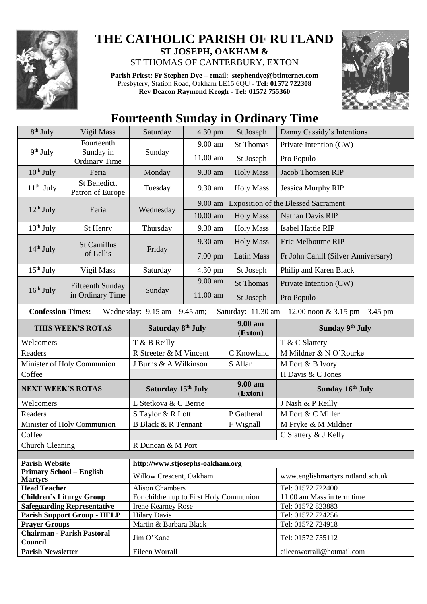

## **THE CATHOLIC PARISH OF RUTLAND ST JOSEPH, OAKHAM &**  ST THOMAS OF CANTERBURY, EXTON

**Parish Priest: Fr Stephen Dye** – **[email: stephendye@btinternet.com](mailto:email:%20%20stephendye@btinternet.com)** Presbytery, Station Road, Oakham LE15 6QU - **Tel: 01572 722308 Rev Deacon Raymond Keogh - Tel: 01572 755360**



## **Fourteenth Sunday in Ordinary Time**

| 8 <sup>th</sup> July                                                                                                | Vigil Mass                           | 4.30 pm<br>Saturday<br>St Joseph        |          |                    | Danny Cassidy's Intentions                 |  |
|---------------------------------------------------------------------------------------------------------------------|--------------------------------------|-----------------------------------------|----------|--------------------|--------------------------------------------|--|
| 9 <sup>th</sup> July                                                                                                | Fourteenth                           | Sunday                                  | 9.00 am  | <b>St Thomas</b>   | Private Intention (CW)                     |  |
|                                                                                                                     | Sunday in<br><b>Ordinary Time</b>    |                                         | 11.00 am | St Joseph          | Pro Populo                                 |  |
| $10th$ July                                                                                                         | Feria                                | Monday                                  | 9.30 am  | <b>Holy Mass</b>   | <b>Jacob Thomsen RIP</b>                   |  |
| $11th$ July                                                                                                         | St Benedict,<br>Patron of Europe     | Tuesday                                 | 9.30 am  | <b>Holy Mass</b>   | Jessica Murphy RIP                         |  |
|                                                                                                                     | Feria                                | Wednesday                               | 9.00 am  |                    | <b>Exposition of the Blessed Sacrament</b> |  |
| $12th$ July                                                                                                         |                                      |                                         | 10.00 am | <b>Holy Mass</b>   | Nathan Davis RIP                           |  |
| $13th$ July                                                                                                         | St Henry                             | Thursday                                | 9.30 am  | <b>Holy Mass</b>   | <b>Isabel Hattie RIP</b>                   |  |
| $14th$ July                                                                                                         | <b>St Camillus</b><br>of Lellis      | Friday                                  | 9.30 am  | <b>Holy Mass</b>   | Eric Melbourne RIP                         |  |
|                                                                                                                     |                                      |                                         | 7.00 pm  | <b>Latin Mass</b>  | Fr John Cahill (Silver Anniversary)        |  |
| $15th$ July                                                                                                         | Vigil Mass                           | Saturday                                | 4.30 pm  | St Joseph          | Philip and Karen Black                     |  |
| $16th$ July                                                                                                         | Fifteenth Sunday<br>in Ordinary Time | Sunday                                  | 9.00 am  | <b>St Thomas</b>   | Private Intention (CW)                     |  |
|                                                                                                                     |                                      |                                         | 11.00 am | St Joseph          | Pro Populo                                 |  |
| <b>Confession Times:</b><br>Wednesday: $9.15$ am $-9.45$ am;<br>Saturday: 11.30 am - 12.00 noon & 3.15 pm - 3.45 pm |                                      |                                         |          |                    |                                            |  |
| THIS WEEK'S ROTAS                                                                                                   |                                      | Saturday 8th July                       |          | 9.00 am<br>(Exton) | Sunday 9th July                            |  |
| Welcomers                                                                                                           |                                      | T & B Reilly                            |          |                    |                                            |  |
|                                                                                                                     |                                      |                                         |          |                    | T & C Slattery                             |  |
| Readers                                                                                                             |                                      | R Streeter & M Vincent                  |          | C Knowland         | M Mildner & N O'Rourke                     |  |
|                                                                                                                     | Minister of Holy Communion           | J Burns & A Wilkinson                   |          | S Allan            | M Port & B Ivory                           |  |
| Coffee                                                                                                              |                                      |                                         |          |                    | H Davis & C Jones                          |  |
| <b>NEXT WEEK'S ROTAS</b>                                                                                            |                                      | Saturday 15 <sup>th</sup> July          |          | 9.00 am<br>(Exton) | Sunday 16th July                           |  |
| Welcomers                                                                                                           |                                      | L Stetkova & C Berrie                   |          |                    | J Nash & P Reilly                          |  |
| Readers                                                                                                             |                                      | S Taylor & R Lott                       |          | P Gatheral         | M Port & C Miller                          |  |
|                                                                                                                     | Minister of Holy Communion           | <b>B Black &amp; R Tennant</b>          |          | F Wignall          | M Pryke & M Mildner                        |  |
| Coffee                                                                                                              |                                      |                                         |          |                    | C Slattery & J Kelly                       |  |
| <b>Church Cleaning</b>                                                                                              |                                      | R Duncan & M Port                       |          |                    |                                            |  |
|                                                                                                                     |                                      |                                         |          |                    |                                            |  |
| <b>Parish Website</b>                                                                                               |                                      | http://www.stjosephs-oakham.org         |          |                    |                                            |  |
| <b>Primary School - English</b><br><b>Martyrs</b>                                                                   |                                      | Willow Crescent, Oakham                 |          |                    | www.englishmartyrs.rutland.sch.uk          |  |
| <b>Head Teacher</b>                                                                                                 |                                      | <b>Alison Chambers</b>                  |          |                    | Tel: 01572 722400                          |  |
| <b>Children's Liturgy Group</b>                                                                                     |                                      | For children up to First Holy Communion |          |                    | 11.00 am Mass in term time                 |  |
|                                                                                                                     | <b>Safeguarding Representative</b>   | <b>Irene Kearney Rose</b>               |          |                    | Tel: 01572 823883                          |  |
|                                                                                                                     | <b>Parish Support Group - HELP</b>   | <b>Hilary Davis</b>                     |          |                    | Tel: 01572 724256                          |  |
| <b>Prayer Groups</b>                                                                                                | <b>Chairman - Parish Pastoral</b>    | Martin & Barbara Black<br>Jim O'Kane    |          |                    | Tel: 01572 724918<br>Tel: 01572 755112     |  |
| Council<br><b>Parish Newsletter</b>                                                                                 |                                      | Eileen Worrall                          |          |                    | eileenworrall@hotmail.com                  |  |